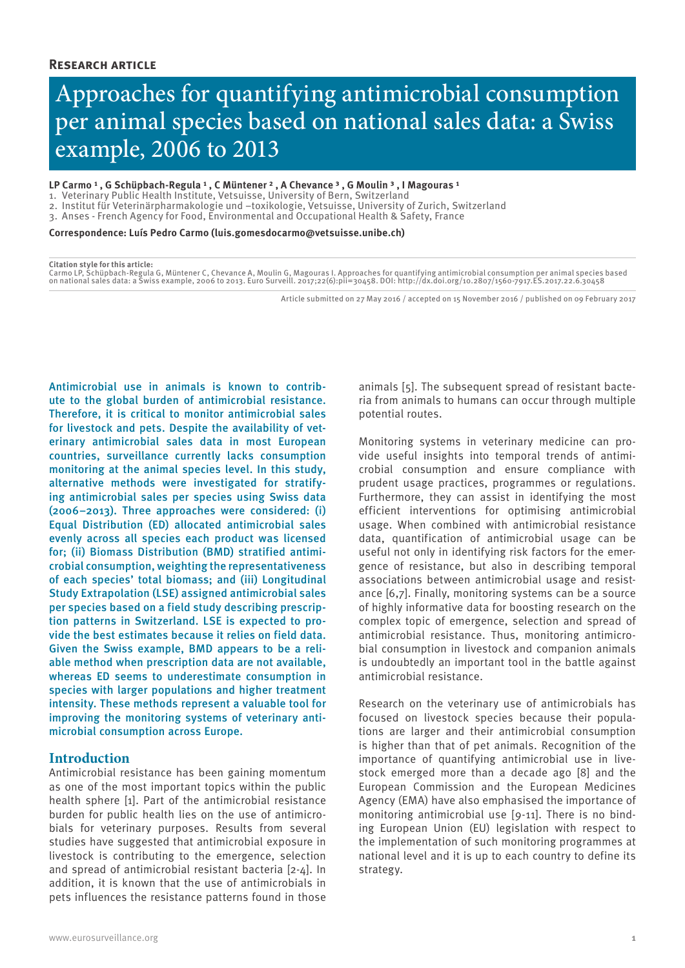# Approaches for quantifying antimicrobial consumption per animal species based on national sales data: a Swiss example, 2006 to 2013

#### LP Carmo <sup>1</sup> , G Schüpbach-Regula <sup>1</sup> , C Müntener <sup>2</sup> , A Chevance <sup>3</sup> , G Moulin <sup>3</sup> , I Magouras <sup>1</sup>

- 1. Veterinary Public Health Institute, Vetsuisse, University of Bern, Switzerland
- 2. Institut für Veterinärpharmakologie und –toxikologie, Vetsuisse, University of Zurich, Switzerland
- 3. Anses French Agency for Food, Environmental and Occupational Health & Safety, France

**Correspondence: Luís Pedro Carmo (luis.gomesdocarmo@vetsuisse.unibe.ch)**

#### **Citation style for this article:**

Carmo LP, Schüpbach-Regula G, Müntener C, Chevance A, Moulin G, Magouras I. Approaches for quantifying antimicrobial consumption per animal species based<br>on national sales data: a Swiss example, 2006 to 2013. Euro Surveill

Article submitted on 27 May 2016 / accepted on 15 November 2016 / published on 09 February 2017

Antimicrobial use in animals is known to contribute to the global burden of antimicrobial resistance. Therefore, it is critical to monitor antimicrobial sales for livestock and pets. Despite the availability of veterinary antimicrobial sales data in most European countries, surveillance currently lacks consumption monitoring at the animal species level. In this study, alternative methods were investigated for stratifying antimicrobial sales per species using Swiss data (2006−2013). Three approaches were considered: (i) Equal Distribution (ED) allocated antimicrobial sales evenly across all species each product was licensed for; (ii) Biomass Distribution (BMD) stratified antimicrobial consumption, weighting the representativeness of each species' total biomass; and (iii) Longitudinal Study Extrapolation (LSE) assigned antimicrobial sales per species based on a field study describing prescription patterns in Switzerland. LSE is expected to provide the best estimates because it relies on field data. Given the Swiss example, BMD appears to be a reliable method when prescription data are not available, whereas ED seems to underestimate consumption in species with larger populations and higher treatment intensity. These methods represent a valuable tool for improving the monitoring systems of veterinary antimicrobial consumption across Europe.

# **Introduction**

Antimicrobial resistance has been gaining momentum as one of the most important topics within the public health sphere [1]. Part of the antimicrobial resistance burden for public health lies on the use of antimicrobials for veterinary purposes. Results from several studies have suggested that antimicrobial exposure in livestock is contributing to the emergence, selection and spread of antimicrobial resistant bacteria [2-4]. In addition, it is known that the use of antimicrobials in pets influences the resistance patterns found in those

animals [5]. The subsequent spread of resistant bacteria from animals to humans can occur through multiple potential routes.

Monitoring systems in veterinary medicine can provide useful insights into temporal trends of antimicrobial consumption and ensure compliance with prudent usage practices, programmes or regulations. Furthermore, they can assist in identifying the most efficient interventions for optimising antimicrobial usage. When combined with antimicrobial resistance data, quantification of antimicrobial usage can be useful not only in identifying risk factors for the emergence of resistance, but also in describing temporal associations between antimicrobial usage and resistance [6,7]. Finally, monitoring systems can be a source of highly informative data for boosting research on the complex topic of emergence, selection and spread of antimicrobial resistance. Thus, monitoring antimicrobial consumption in livestock and companion animals is undoubtedly an important tool in the battle against antimicrobial resistance.

Research on the veterinary use of antimicrobials has focused on livestock species because their populations are larger and their antimicrobial consumption is higher than that of pet animals. Recognition of the importance of quantifying antimicrobial use in livestock emerged more than a decade ago [8] and the European Commission and the European Medicines Agency (EMA) have also emphasised the importance of monitoring antimicrobial use [9-11]. There is no binding European Union (EU) legislation with respect to the implementation of such monitoring programmes at national level and it is up to each country to define its strategy.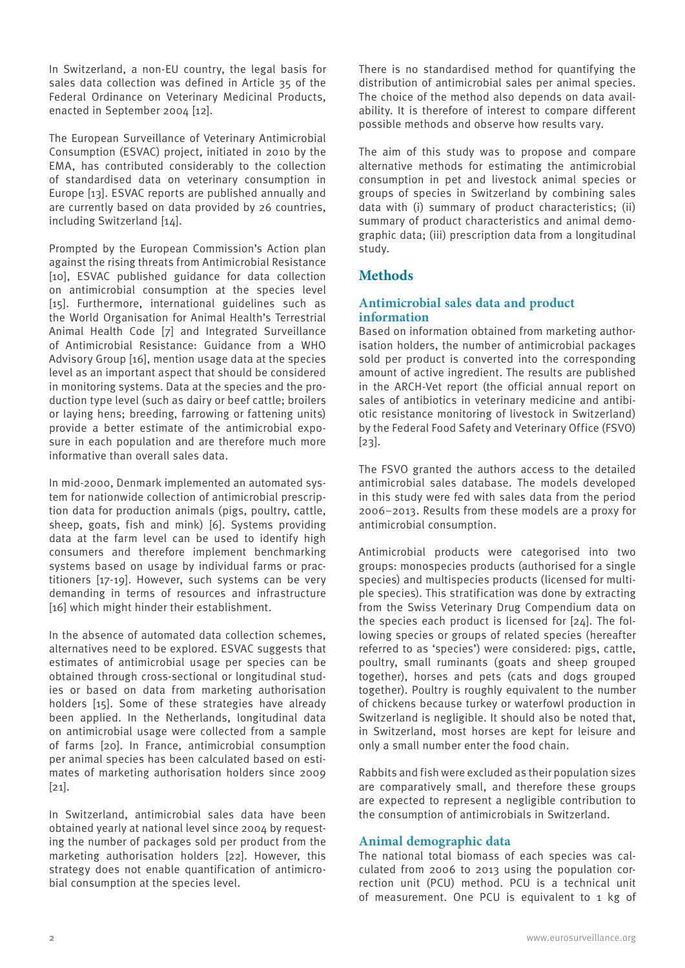In Switzerland, a non-EU country, the legal basis for sales data collection was defined in Article 35 of the Federal Ordinance on Veterinary Medicinal Products, enacted in September 2004 [12].

The European Surveillance of Veterinary Antimicrobial Consumption (ESVAC) project, initiated in 2010 by the EMA, has contributed considerably to the collection of standardised data on veterinary consumption in Europe [13]. ESVAC reports are published annually and are currently based on data provided by 26 countries, including Switzerland [14].

Prompted by the European Commission's Action plan against the rising threats from Antimicrobial Resistance [10], ESVAC published guidance for data collection on antimicrobial consumption at the species level [15]. Furthermore, international guidelines such as the World Organisation for Animal Health's Terrestrial Animal Health Code [7] and Integrated Surveillance of Antimicrobial Resistance: Guidance from a WHO Advisory Group [16], mention usage data at the species level as an important aspect that should be considered in monitoring systems. Data at the species and the production type level (such as dairy or beef cattle; broilers or laying hens; breeding, farrowing or fattening units) provide a better estimate of the antimicrobial exposure in each population and are therefore much more informative than overall sales data.

In mid-2000, Denmark implemented an automated system for nationwide collection of antimicrobial prescription data for production animals (pigs, poultry, cattle, sheep, goats, fish and mink) [6]. Systems providing data at the farm level can be used to identify high consumers and therefore implement benchmarking systems based on usage by individual farms or practitioners [17-19]. However, such systems can be very demanding in terms of resources and infrastructure [16] which might hinder their establishment.

In the absence of automated data collection schemes, alternatives need to be explored. ESVAC suggests that estimates of antimicrobial usage per species can be obtained through cross-sectional or longitudinal studies or based on data from marketing authorisation holders [15]. Some of these strategies have already been applied. In the Netherlands, longitudinal data on antimicrobial usage were collected from a sample of farms [20]. In France, antimicrobial consumption per animal species has been calculated based on estimates of marketing authorisation holders since 2009  $[21]$ .

In Switzerland, antimicrobial sales data have been obtained yearly at national level since 2004 by requesting the number of packages sold per product from the marketing authorisation holders [22]. However, this strategy does not enable quantification of antimicrobial consumption at the species level.

There is no standardised method for quantifying the distribution of antimicrobial sales per animal species. The choice of the method also depends on data availability. It is therefore of interest to compare different possible methods and observe how results vary.

The aim of this study was to propose and compare alternative methods for estimating the antimicrobial consumption in pet and livestock animal species or groups of species in Switzerland by combining sales data with (i) summary of product characteristics; (ii) summary of product characteristics and animal demographic data; (iii) prescription data from a longitudinal study.

# **Methods**

# **Antimicrobial sales data and product information**

Based on information obtained from marketing authorisation holders, the number of antimicrobial packages sold per product is converted into the corresponding amount of active ingredient. The results are published in the ARCH-Vet report (the official annual report on sales of antibiotics in veterinary medicine and antibiotic resistance monitoring of livestock in Switzerland) by the Federal Food Safety and Veterinary Office (FSVO) [23].

The FSVO granted the authors access to the detailed antimicrobial sales database. The models developed in this study were fed with sales data from the period 2006−2013. Results from these models are a proxy for antimicrobial consumption.

Antimicrobial products were categorised into two groups: monospecies products (authorised for a single species) and multispecies products (licensed for multiple species). This stratification was done by extracting from the Swiss Veterinary Drug Compendium data on the species each product is licensed for [24]. The following species or groups of related species (hereafter referred to as 'species') were considered: pigs, cattle, poultry, small ruminants (goats and sheep grouped together), horses and pets (cats and dogs grouped together). Poultry is roughly equivalent to the number of chickens because turkey or waterfowl production in Switzerland is negligible. It should also be noted that, in Switzerland, most horses are kept for leisure and only a small number enter the food chain.

Rabbits and fish were excluded as their population sizes are comparatively small, and therefore these groups are expected to represent a negligible contribution to the consumption of antimicrobials in Switzerland.

# **Animal demographic data**

The national total biomass of each species was calculated from 2006 to 2013 using the population correction unit (PCU) method. PCU is a technical unit of measurement. One PCU is equivalent to 1 kg of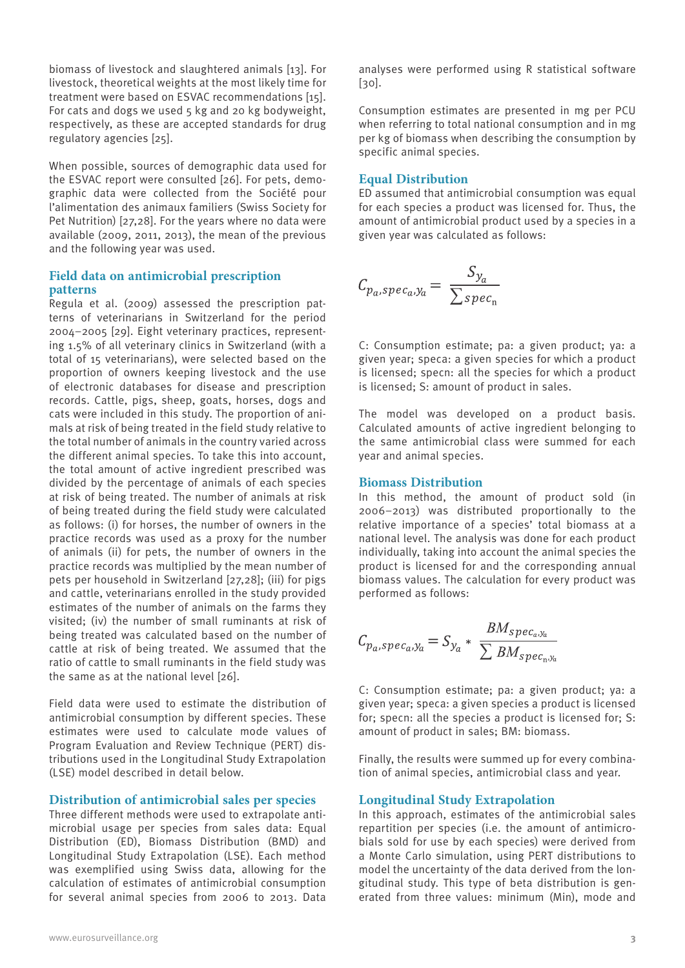biomass of livestock and slaughtered animals [13]. For livestock, theoretical weights at the most likely time for treatment were based on ESVAC recommendations [15]. For cats and dogs we used 5 kg and 20 kg bodyweight, respectively, as these are accepted standards for drug regulatory agencies [25].

When possible, sources of demographic data used for the ESVAC report were consulted [26]. For pets, demographic data were collected from the Société pour l'alimentation des animaux familiers (Swiss Society for Pet Nutrition) [27,28]. For the years where no data were available (2009, 2011, 2013), the mean of the previous and the following year was used.

# **Field data on antimicrobial prescription patterns**

Regula et al. (2009) assessed the prescription patterns of veterinarians in Switzerland for the period 2004−2005 [29]. Eight veterinary practices, representing 1.5% of all veterinary clinics in Switzerland (with a total of 15 veterinarians), were selected based on the proportion of owners keeping livestock and the use of electronic databases for disease and prescription records. Cattle, pigs, sheep, goats, horses, dogs and cats were included in this study. The proportion of animals at risk of being treated in the field study relative to the total number of animals in the country varied across the different animal species. To take this into account, the total amount of active ingredient prescribed was divided by the percentage of animals of each species at risk of being treated. The number of animals at risk of being treated during the field study were calculated as follows: (i) for horses, the number of owners in the practice records was used as a proxy for the number of animals (ii) for pets, the number of owners in the practice records was multiplied by the mean number of pets per household in Switzerland [27,28]; (iii) for pigs and cattle, veterinarians enrolled in the study provided estimates of the number of animals on the farms they visited; (iv) the number of small ruminants at risk of being treated was calculated based on the number of cattle at risk of being treated. We assumed that the ratio of cattle to small ruminants in the field study was the same as at the national level [26].

Field data were used to estimate the distribution of antimicrobial consumption by different species. These estimates were used to calculate mode values of Program Evaluation and Review Technique (PERT) distributions used in the Longitudinal Study Extrapolation (LSE) model described in detail below.

# **Distribution of antimicrobial sales per species**

Three different methods were used to extrapolate antimicrobial usage per species from sales data: Equal Distribution (ED), Biomass Distribution (BMD) and Longitudinal Study Extrapolation (LSE). Each method was exemplified using Swiss data, allowing for the calculation of estimates of antimicrobial consumption for several animal species from 2006 to 2013. Data

analyses were performed using R statistical software  $[30]$ .

Consumption estimates are presented in mg per PCU when referring to total national consumption and in mg per kg of biomass when describing the consumption by specific animal species.

#### **Equal Distribution**

ED assumed that antimicrobial consumption was equal for each species a product was licensed for. Thus, the amount of antimicrobial product used by a species in a given year was calculated as follows:

$$
C_{p_a, spec_a, y_a} = \frac{S_{y_a}}{\sum_{spec_n}}
$$

C: Consumption estimate; pa: a given product; ya: a given year; speca: a given species for which a product is licensed; specn: all the species for which a product is licensed; S: amount of product in sales.

The model was developed on a product basis. Calculated amounts of active ingredient belonging to the same antimicrobial class were summed for each year and animal species.

#### **Biomass Distribution**

In this method, the amount of product sold (in 2006−2013) was distributed proportionally to the relative importance of a species' total biomass at a national level. The analysis was done for each product individually, taking into account the animal species the product is licensed for and the corresponding annual biomass values. The calculation for every product was performed as follows:

$$
C_{p_a, spec_a,y_a} = S_{y_a} * \frac{BM_{spec_a,y_a}}{\sum BM_{spec_n,y_a}}
$$

C: Consumption estimate; pa: a given product; ya: a given year; speca: a given species a product is licensed for; specn: all the species a product is licensed for; S: amount of product in sales; BM: biomass.

Finally, the results were summed up for every combination of animal species, antimicrobial class and year.

#### **Longitudinal Study Extrapolation**

In this approach, estimates of the antimicrobial sales repartition per species (i.e. the amount of antimicrobials sold for use by each species) were derived from a Monte Carlo simulation, using PERT distributions to model the uncertainty of the data derived from the longitudinal study. This type of beta distribution is generated from three values: minimum (Min), mode and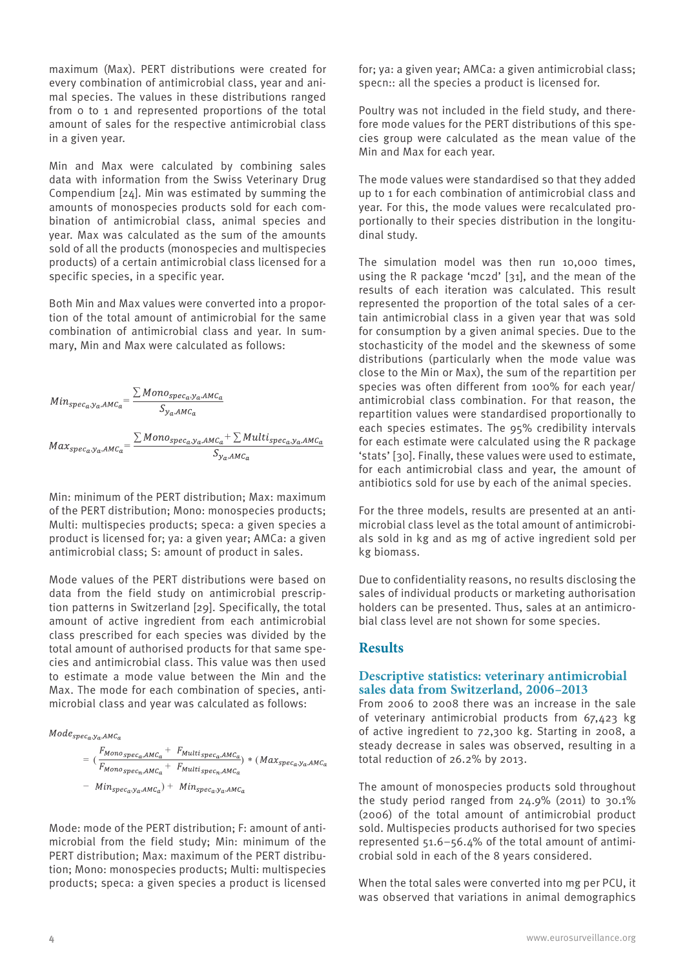maximum (Max). PERT distributions were created for every combination of antimicrobial class, year and animal species. The values in these distributions ranged from 0 to 1 and represented proportions of the total amount of sales for the respective antimicrobial class in a given year.

Min and Max were calculated by combining sales data with information from the Swiss Veterinary Drug Compendium [24]. Min was estimated by summing the amounts of monospecies products sold for each combination of antimicrobial class, animal species and year. Max was calculated as the sum of the amounts sold of all the products (monospecies and multispecies products) of a certain antimicrobial class licensed for a specific species, in a specific year.

Both Min and Max values were converted into a proportion of the total amount of antimicrobial for the same combination of antimicrobial class and year. In summary, Min and Max were calculated as follows:

$$
Min_{spec_a,y_a,AMC_a} = \frac{\sum Mon_{spec_a,y_a,AMC_a}}{S_{y_a,AMC_a}}
$$
  

$$
Max_{spec_a,y_a,AMC_a} = \frac{\sum Mon_{spec_a,y_a,AMC_a} + \sum Mult_{spec_a,y_a,AMC_a}}{S_{y_a,AMC_a}}
$$

Min: minimum of the PERT distribution; Max: maximum of the PERT distribution; Mono: monospecies products; Multi: multispecies products; speca: a given species a product is licensed for; ya: a given year; AMCa: a given antimicrobial class; S: amount of product in sales.

Mode values of the PERT distributions were based on data from the field study on antimicrobial prescription patterns in Switzerland [29]. Specifically, the total amount of active ingredient from each antimicrobial class prescribed for each species was divided by the total amount of authorised products for that same species and antimicrobial class. This value was then used to estimate a mode value between the Min and the Max. The mode for each combination of species, antimicrobial class and year was calculated as follows:

$$
Mode_{spec_a,y_a,AMCa}
$$
  
=  $\left(\frac{F_{Monospec_a,AMCa} + F_{Multispec_a,AMCa}}{F_{Monospec_a,AMCa} + F_{Multispec_a,AMCa}}\right) * (Max_{spec_a,y_a,AMCa}$   
- Min\_{spec\_a,y\_a,AMCa}) + Min\_{spec\_a,y\_a,AMCa}

Mode: mode of the PERT distribution; F: amount of antimicrobial from the field study; Min: minimum of the PERT distribution; Max: maximum of the PERT distribution; Mono: monospecies products; Multi: multispecies products; speca: a given species a product is licensed

for; ya: a given year; AMCa: a given antimicrobial class; specn:: all the species a product is licensed for.

Poultry was not included in the field study, and therefore mode values for the PERT distributions of this species group were calculated as the mean value of the Min and Max for each year.

The mode values were standardised so that they added up to 1 for each combination of antimicrobial class and year. For this, the mode values were recalculated proportionally to their species distribution in the longitudinal study.

The simulation model was then run 10,000 times, using the R package 'mc2d' [31], and the mean of the results of each iteration was calculated. This result represented the proportion of the total sales of a certain antimicrobial class in a given year that was sold for consumption by a given animal species. Due to the stochasticity of the model and the skewness of some distributions (particularly when the mode value was close to the Min or Max), the sum of the repartition per species was often different from 100% for each year/ antimicrobial class combination. For that reason, the repartition values were standardised proportionally to each species estimates. The 95% credibility intervals for each estimate were calculated using the R package 'stats' [30]. Finally, these values were used to estimate, for each antimicrobial class and year, the amount of antibiotics sold for use by each of the animal species.

For the three models, results are presented at an antimicrobial class level as the total amount of antimicrobials sold in kg and as mg of active ingredient sold per kg biomass.

Due to confidentiality reasons, no results disclosing the sales of individual products or marketing authorisation holders can be presented. Thus, sales at an antimicrobial class level are not shown for some species.

# **Results**

# **Descriptive statistics: veterinary antimicrobial sales data from Switzerland, 2006–2013**

From 2006 to 2008 there was an increase in the sale of veterinary antimicrobial products from 67,423 kg of active ingredient to 72,300 kg. Starting in 2008, a steady decrease in sales was observed, resulting in a total reduction of 26.2% by 2013.

The amount of monospecies products sold throughout the study period ranged from 24.9% (2011) to 30.1% (2006) of the total amount of antimicrobial product sold. Multispecies products authorised for two species represented 51.6–56.4% of the total amount of antimicrobial sold in each of the 8 years considered.

When the total sales were converted into mg per PCU, it was observed that variations in animal demographics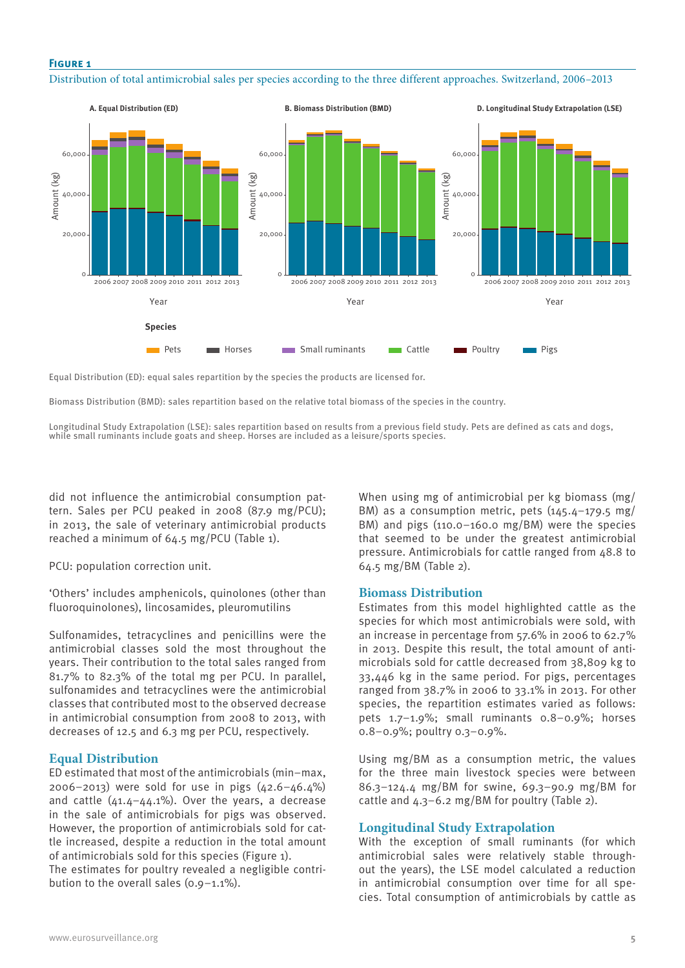# **Figure 1**

Distribution of total antimicrobial sales per species according to the three different approaches. Switzerland, 2006–2013



Equal Distribution (ED): equal sales repartition by the species the products are licensed for.

Biomass Distribution (BMD): sales repartition based on the relative total biomass of the species in the country.

Longitudinal Study Extrapolation (LSE): sales repartition based on results from a previous field study. Pets are defined as cats and dogs, while small ruminants include goats and sheep. Horses are included as a leisure/sports species.

did not influence the antimicrobial consumption pattern. Sales per PCU peaked in 2008 (87.9 mg/PCU); in 2013, the sale of veterinary antimicrobial products reached a minimum of 64.5 mg/PCU (Table 1).

PCU: population correction unit.

'Others' includes amphenicols, quinolones (other than fluoroquinolones), lincosamides, pleuromutilins

Sulfonamides, tetracyclines and penicillins were the antimicrobial classes sold the most throughout the years. Their contribution to the total sales ranged from 81.7% to 82.3% of the total mg per PCU. In parallel, sulfonamides and tetracyclines were the antimicrobial classes that contributed most to the observed decrease in antimicrobial consumption from 2008 to 2013, with decreases of 12.5 and 6.3 mg per PCU, respectively.

# **Equal Distribution**

ED estimated that most of the antimicrobials (min−max, 2006−2013) were sold for use in pigs (42.6−46.4%) and cattle (41.4−44.1%). Over the years, a decrease in the sale of antimicrobials for pigs was observed. However, the proportion of antimicrobials sold for cattle increased, despite a reduction in the total amount of antimicrobials sold for this species (Figure 1). The estimates for poultry revealed a negligible contribution to the overall sales (0.9−1.1%).

When using mg of antimicrobial per kg biomass (mg/ BM) as a consumption metric, pets (145.4−179.5 mg/ BM) and pigs (110.0−160.0 mg/BM) were the species that seemed to be under the greatest antimicrobial pressure. Antimicrobials for cattle ranged from 48.8 to 64.5 mg/BM (Table 2).

#### **Biomass Distribution**

Estimates from this model highlighted cattle as the species for which most antimicrobials were sold, with an increase in percentage from 57.6% in 2006 to 62.7% in 2013. Despite this result, the total amount of antimicrobials sold for cattle decreased from 38,809 kg to 33,446 kg in the same period. For pigs, percentages ranged from 38.7% in 2006 to 33.1% in 2013. For other species, the repartition estimates varied as follows: pets 1.7−1.9%; small ruminants 0.8−0.9%; horses 0.8−0.9%; poultry 0.3−0.9%.

Using mg/BM as a consumption metric, the values for the three main livestock species were between 86.3−124.4 mg/BM for swine, 69.3−90.9 mg/BM for cattle and 4.3−6.2 mg/BM for poultry (Table 2).

#### **Longitudinal Study Extrapolation**

With the exception of small ruminants (for which antimicrobial sales were relatively stable throughout the years), the LSE model calculated a reduction in antimicrobial consumption over time for all species. Total consumption of antimicrobials by cattle as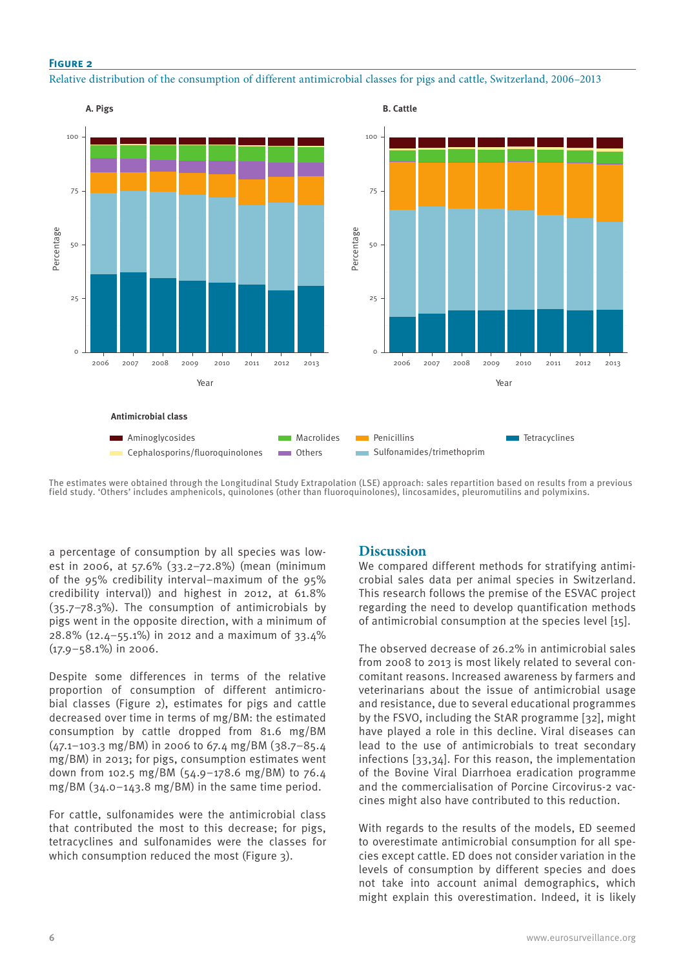# **Figure 2**

Relative distribution of the consumption of different antimicrobial classes for pigs and cattle, Switzerland, 2006–2013



The estimates were obtained through the Longitudinal Study Extrapolation (LSE) approach: sales repartition based on results from a previous field study. 'Others' includes amphenicols, quinolones (other than fluoroquinolones), lincosamides, pleuromutilins and polymixins.

a percentage of consumption by all species was lowest in 2006, at 57.6% (33.2−72.8%) (mean (minimum of the 95% credibility interval–maximum of the 95% credibility interval)) and highest in 2012, at 61.8% (35.7−78.3%). The consumption of antimicrobials by pigs went in the opposite direction, with a minimum of 28.8% (12.4−55.1%) in 2012 and a maximum of 33.4% (17.9−58.1%) in 2006.

Despite some differences in terms of the relative proportion of consumption of different antimicrobial classes (Figure 2), estimates for pigs and cattle decreased over time in terms of mg/BM: the estimated consumption by cattle dropped from 81.6 mg/BM (47.1−103.3 mg/BM) in 2006 to 67.4 mg/BM (38.7−85.4 mg/BM) in 2013; for pigs, consumption estimates went down from 102.5 mg/BM (54.9−178.6 mg/BM) to 76.4 mg/BM (34.0−143.8 mg/BM) in the same time period.

For cattle, sulfonamides were the antimicrobial class that contributed the most to this decrease; for pigs, tetracyclines and sulfonamides were the classes for which consumption reduced the most (Figure 3).

# **Discussion**

We compared different methods for stratifying antimicrobial sales data per animal species in Switzerland. This research follows the premise of the ESVAC project regarding the need to develop quantification methods of antimicrobial consumption at the species level [15].

The observed decrease of 26.2% in antimicrobial sales from 2008 to 2013 is most likely related to several concomitant reasons. Increased awareness by farmers and veterinarians about the issue of antimicrobial usage and resistance, due to several educational programmes by the FSVO, including the StAR programme [32], might have played a role in this decline. Viral diseases can lead to the use of antimicrobials to treat secondary infections [33,34]. For this reason, the implementation of the Bovine Viral Diarrhoea eradication programme and the commercialisation of Porcine Circovirus-2 vaccines might also have contributed to this reduction.

With regards to the results of the models, ED seemed to overestimate antimicrobial consumption for all species except cattle. ED does not consider variation in the levels of consumption by different species and does not take into account animal demographics, which might explain this overestimation. Indeed, it is likely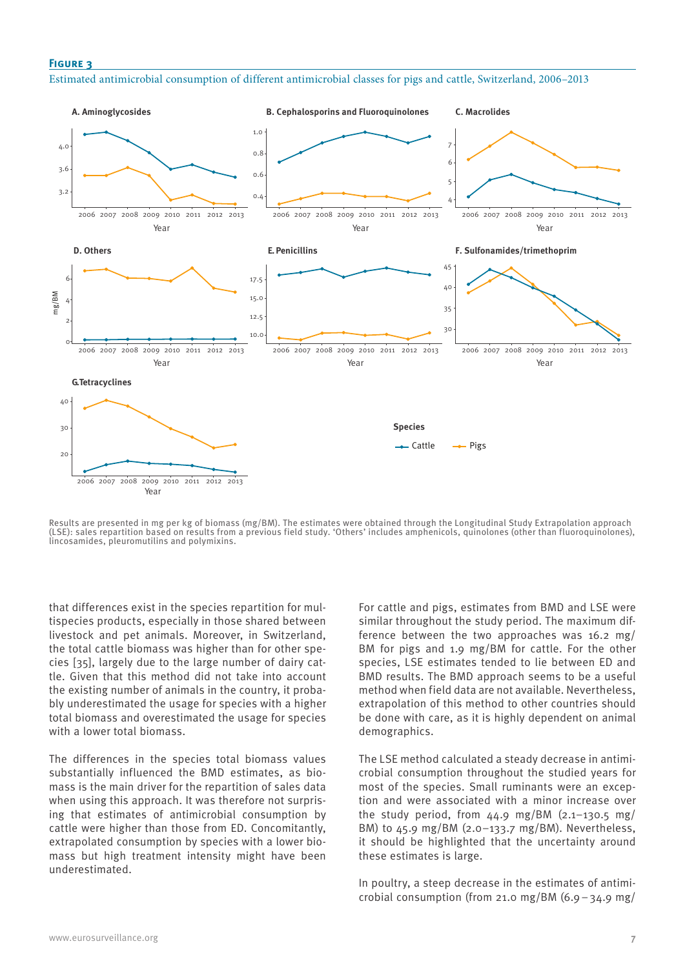#### **Figure 3**

Estimated antimicrobial consumption of different antimicrobial classes for pigs and cattle, Switzerland, 2006–2013



Results are presented in mg per kg of biomass (mg/BM). The estimates were obtained through the Longitudinal Study Extrapolation approach (LSE): sales repartition based on results from a previous field study. 'Others' includes amphenicols, quinolones (other than fluoroquinolones), lincosamides, pleuromutilins and polymixins.

that differences exist in the species repartition for multispecies products, especially in those shared between livestock and pet animals. Moreover, in Switzerland, the total cattle biomass was higher than for other species [35], largely due to the large number of dairy cattle. Given that this method did not take into account the existing number of animals in the country, it probably underestimated the usage for species with a higher total biomass and overestimated the usage for species with a lower total biomass.

The differences in the species total biomass values substantially influenced the BMD estimates, as biomass is the main driver for the repartition of sales data when using this approach. It was therefore not surprising that estimates of antimicrobial consumption by cattle were higher than those from ED. Concomitantly, extrapolated consumption by species with a lower biomass but high treatment intensity might have been underestimated.

For cattle and pigs, estimates from BMD and LSE were similar throughout the study period. The maximum difference between the two approaches was 16.2 mg/ BM for pigs and 1.9 mg/BM for cattle. For the other species, LSE estimates tended to lie between ED and BMD results. The BMD approach seems to be a useful method when field data are not available. Nevertheless, extrapolation of this method to other countries should be done with care, as it is highly dependent on animal demographics.

The LSE method calculated a steady decrease in antimicrobial consumption throughout the studied years for most of the species. Small ruminants were an exception and were associated with a minor increase over the study period, from 44.9 mg/BM (2.1−130.5 mg/ BM) to 45.9 mg/BM (2.0−133.7 mg/BM). Nevertheless, it should be highlighted that the uncertainty around these estimates is large.

In poultry, a steep decrease in the estimates of antimicrobial consumption (from 21.0 mg/BM (6.9−34.9 mg/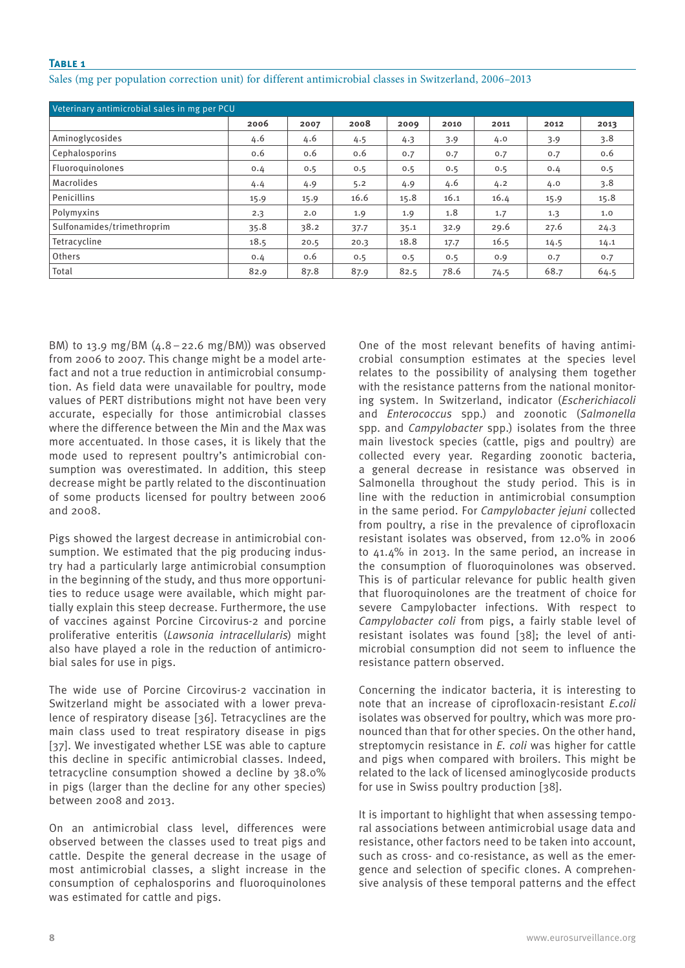# **Table 1**

| Veterinary antimicrobial sales in mg per PCU |      |      |      |      |      |      |      |      |
|----------------------------------------------|------|------|------|------|------|------|------|------|
|                                              | 2006 | 2007 | 2008 | 2009 | 2010 | 2011 | 2012 | 2013 |
| Aminoglycosides                              | 4.6  | 4.6  | 4.5  | 4.3  | 3.9  | 4.0  | 3.9  | 3.8  |
| Cephalosporins                               | 0.6  | 0.6  | 0.6  | 0.7  | 0.7  | 0.7  | 0.7  | 0.6  |
| Fluoroguinolones                             | 0.4  | 0.5  | 0.5  | 0.5  | 0.5  | 0.5  | 0.4  | 0.5  |
| <b>Macrolides</b>                            | 4.4  | 4.9  | 5.2  | 4.9  | 4.6  | 4.2  | 4.0  | 3.8  |
| Penicillins                                  | 15.9 | 15.9 | 16.6 | 15.8 | 16.1 | 16.4 | 15.9 | 15.8 |
| Polymyxins                                   | 2.3  | 2.0  | 1.9  | 1.9  | 1.8  | 1.7  | 1.3  | 1.0  |
| Sulfonamides/trimethroprim                   | 35.8 | 38.2 | 37.7 | 35.1 | 32.9 | 29.6 | 27.6 | 24.3 |
| Tetracycline                                 | 18.5 | 20.5 | 20.3 | 18.8 | 17.7 | 16.5 | 14.5 | 14.1 |
| Others                                       | 0.4  | 0.6  | 0.5  | 0.5  | 0.5  | 0.9  | 0.7  | 0.7  |
| Total                                        | 82.9 | 87.8 | 87.9 | 82.5 | 78.6 | 74.5 | 68.7 | 64.5 |

Sales (mg per population correction unit) for different antimicrobial classes in Switzerland, 2006–2013

BM) to 13.9 mg/BM (4.8−22.6 mg/BM)) was observed from 2006 to 2007. This change might be a model artefact and not a true reduction in antimicrobial consumption. As field data were unavailable for poultry, mode values of PERT distributions might not have been very accurate, especially for those antimicrobial classes where the difference between the Min and the Max was more accentuated. In those cases, it is likely that the mode used to represent poultry's antimicrobial consumption was overestimated. In addition, this steep decrease might be partly related to the discontinuation of some products licensed for poultry between 2006 and 2008.

Pigs showed the largest decrease in antimicrobial consumption. We estimated that the pig producing industry had a particularly large antimicrobial consumption in the beginning of the study, and thus more opportunities to reduce usage were available, which might partially explain this steep decrease. Furthermore, the use of vaccines against Porcine Circovirus-2 and porcine proliferative enteritis (*Lawsonia intracellularis*) might also have played a role in the reduction of antimicrobial sales for use in pigs.

The wide use of Porcine Circovirus-2 vaccination in Switzerland might be associated with a lower prevalence of respiratory disease [36]. Tetracyclines are the main class used to treat respiratory disease in pigs [37]. We investigated whether LSE was able to capture this decline in specific antimicrobial classes. Indeed, tetracycline consumption showed a decline by 38.0% in pigs (larger than the decline for any other species) between 2008 and 2013.

On an antimicrobial class level, differences were observed between the classes used to treat pigs and cattle. Despite the general decrease in the usage of most antimicrobial classes, a slight increase in the consumption of cephalosporins and fluoroquinolones was estimated for cattle and pigs.

One of the most relevant benefits of having antimicrobial consumption estimates at the species level relates to the possibility of analysing them together with the resistance patterns from the national monitoring system. In Switzerland, indicator (*Escherichiacoli* and *Enterococcus* spp.) and zoonotic (*Salmonella* spp. and *Campylobacter* spp.) isolates from the three main livestock species (cattle, pigs and poultry) are collected every year. Regarding zoonotic bacteria, a general decrease in resistance was observed in Salmonella throughout the study period. This is in line with the reduction in antimicrobial consumption in the same period. For *Campylobacter jejuni* collected from poultry, a rise in the prevalence of ciprofloxacin resistant isolates was observed, from 12.0% in 2006 to 41.4% in 2013. In the same period, an increase in the consumption of fluoroquinolones was observed. This is of particular relevance for public health given that fluoroquinolones are the treatment of choice for severe Campylobacter infections. With respect to *Campylobacter coli* from pigs, a fairly stable level of resistant isolates was found [38]; the level of antimicrobial consumption did not seem to influence the resistance pattern observed.

Concerning the indicator bacteria, it is interesting to note that an increase of ciprofloxacin-resistant *E.coli* isolates was observed for poultry, which was more pronounced than that for other species. On the other hand, streptomycin resistance in *E. coli* was higher for cattle and pigs when compared with broilers. This might be related to the lack of licensed aminoglycoside products for use in Swiss poultry production [38].

It is important to highlight that when assessing temporal associations between antimicrobial usage data and resistance, other factors need to be taken into account, such as cross- and co-resistance, as well as the emergence and selection of specific clones. A comprehensive analysis of these temporal patterns and the effect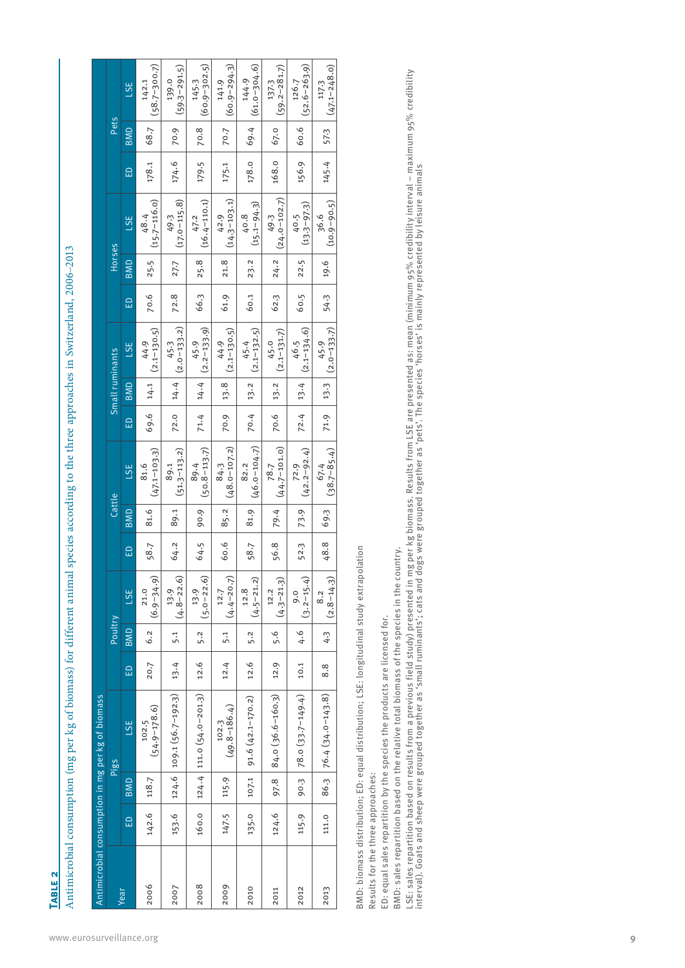**Table 2**

Antimicrobial consumption (mg per kg of biomass) for different animal species according to the three approaches in Switzerland, 2006-2013 Antimicrobial consumption (mg per kg of biomass) for different animal species according to the three approaches in Switzerland, 2006–2013

|      |          |       | Antimicrobial consumption in mg per kg of biomass |      |         |                        |          |        |                          |               |                 |                                                     |          |            |                          |          |      |                           |
|------|----------|-------|---------------------------------------------------|------|---------|------------------------|----------|--------|--------------------------|---------------|-----------------|-----------------------------------------------------|----------|------------|--------------------------|----------|------|---------------------------|
|      |          |       | Pigs                                              |      | Poultry |                        |          | Cattle |                          |               | Small ruminants |                                                     |          | Horses     |                          |          | Pets |                           |
| Year | $\Omega$ | BMD   | LSE                                               | 品    | BMD     | <b>LSE</b>             | $\Omega$ | BMD    | <b>LSE</b>               | 一品            | BMD             | <b>LSE</b>                                          | $\Omega$ | <b>BMD</b> | <b>LSE</b>               | $\Omega$ | BMD  | <b>LSE</b>                |
| 2006 | 142.6    | 118.7 | $(54.9 - 178.6)$<br>102.5                         | 20.7 | 6.2     | $(6.9 - 34.9)$<br>21.0 | 58.7     | 81.6   | $(47.1 - 103.3)$<br>81.6 | 69.6   14.1   |                 | $(2.1 - 130.5)$<br>44.9                             | 70.6     | 25.5       | $(15.7 - 116.0)$<br>48.4 | 178.1    | 68.7 | $(58.7 - 300.7)$<br>142.1 |
| 2007 | 153.6    |       | $124.6$   109.1 (56.7-192.3)                      | 13.4 | 5.1     | $(4.8 - 22.6)$<br>13.9 | 64.2     | 89.1   | $(51.3 - 113.2)$<br>89.1 |               |                 | 72.0 $ 14.4 $ $(2.0 - 133.2)$<br>45.3               | 72.8     | 27.7       | $(17.0 - 115.8)$<br>49.3 | 174.6    | 70.9 | $(59.3 - 291.5)$<br>139.0 |
| 2008 | 160.0    |       | $ 124.4 111.0 (54.0 - 201.3)$                     | 12.6 | 5.2     | $(5.0 - 22.6)$<br>13.9 | 64.5     | 90.9   | $(50.8 - 113.7)$<br>89.4 | 71.4   14.4   |                 | $(2.2 - 133.9)$<br>45.9                             | 66.3     | 25.8       | $(16.4 - 110.1)$<br>47.2 | 179.5    | 70.8 | $(60.9 - 302.5)$<br>145.3 |
| 2009 | 147.5    | 115.9 | $(49.8 - 186.4)$<br>102.3                         | 12.4 | 5.1     | $(4.4 - 20.7)$<br>12.7 | 60.6     | 85.2   | $(48.0 - 107.2)$<br>84.3 | $70.9$   13.8 |                 | $\begin{bmatrix} 44.9 \\ (2.1-130.5) \end{bmatrix}$ | 61.9     | 21.8       | $(14.3 - 103.1)$<br>42.9 | 175.1    | 70.7 | $(60.9 - 294.3)$<br>141.9 |
| 2010 | 135.0    |       | $107.1$ 91.6 (42.1-170.2)                         | 12.6 | 5.2     | $(4.5 - 21.2)$<br>12.8 | 58.7     | 81.9   | $(46.0 - 104.7)$<br>82.2 | 70.4   13.2   |                 | $\begin{bmatrix} 45.4 \\ (2.1-132.5) \end{bmatrix}$ | 60.1     | 23.2       | $(15.1 - 94.3)$<br>40.8  | 178.0    | 69.4 | $(61.0 - 304.6)$<br>144.9 |
| 2011 | 124.6    |       | $97.8$   84.0 (36.6-160.3)                        | 12.9 | 5.6     | $(4.3 - 21.3)$<br>12.2 | 56.8     | 19.4   | $(44.7 - 101.0)$<br>78.7 | 70.6   13.2   |                 | $45.0$<br>(2.1-131.7)                               | 62.3     | 24.2       | $(24.0 - 102.7)$<br>49.3 | 168.0    | 67.0 | $(59.2 - 281.7)$<br>137.3 |
| 2012 | 115.9    | 90.3  | $78.0$ (33.7-149.4)                               | 10.1 | 4.6     | $(3.2 - 15.4)$<br>9.0  | 52.3     | 73.9   | $(42.2 - 92.4)$<br>72.9  | $72.4$   13.4 |                 | $(2.1 - 134.6)$<br>46.5                             | 60.5     | 22.5       | $(13.3 - 97.3)$<br>40.5  | 156.9    | 60.6 | $(52.6 - 263.9)$<br>126.7 |
| 2013 | 111.0    |       | $86.3$   $76.4$ (34.0-143.8)                      | 8.8  | 4.3     | $(2.8 - 14.3)$<br>8.2  | 48.8     | 69.3   | $(38.7 - 85.4)$<br>67.4  | 71.9          | 13.3            | $(2.0 - 133.7)$<br>45.9                             | 54.3     | 19.6       | $(10.9 - 90.5)$<br>36.6  | 145.4    | 57.3 | $(47.1 - 248.0)$<br>117.3 |

BMD: biomass distribution; ED: equal distribution; LSE: longitudinal study extrapolation BMD: biomass distribution; ED: equal distribution; LSE: longitudinal study extrapolation

Results for the three approaches: Results for the three approaches:

ED: equal sales repartition by the species the products are licensed for. ED: equal sales repartition by the species the products are licensed for.

BMD: sales repartition based on the relative total biomass of the species in the country. BMD: sales repartition based on the relative total biomass of the species in the country.

LSE: sales repartition based on results from a previous field study) presented in mg per kg biomass. Results from LSE are presented as: mean (minimum 95% credibility interval – maximum 95% credibility<br>interval). Goats and LSE: sales repartition based on results from a previous field study) presented in mg per kg biomass. Results from LSE are presented as: mean (minimum 95% credibility interval – maximum 95% credibility interval). Goats and sheep were grouped together as 'small ruminants'; cats and dogs were grouped together as 'pets'. The species 'horses' is mainly represented by leisure animals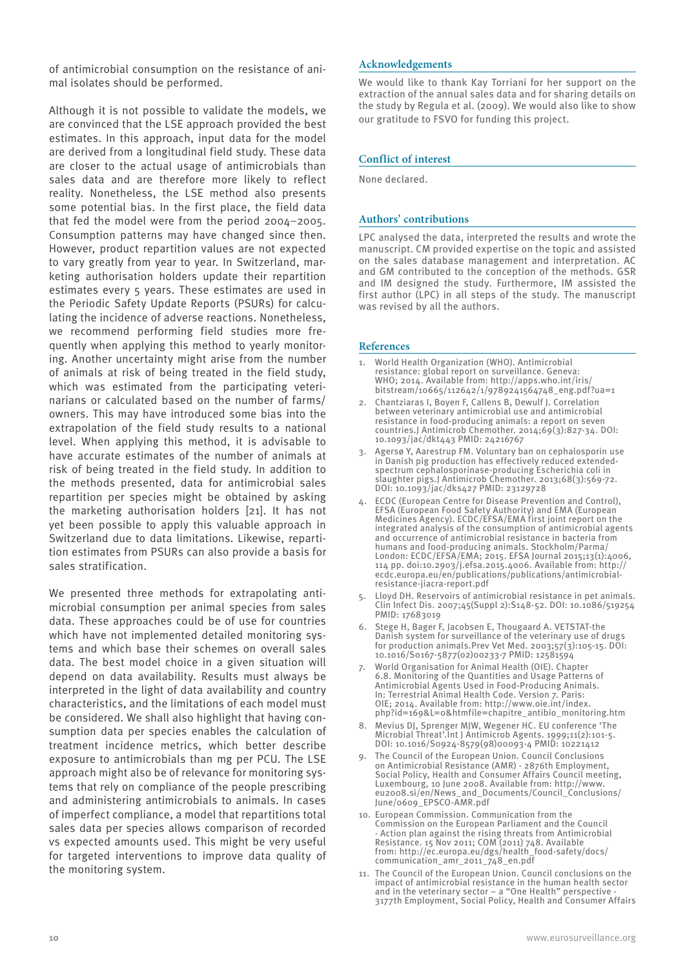of antimicrobial consumption on the resistance of animal isolates should be performed.

Although it is not possible to validate the models, we are convinced that the LSE approach provided the best estimates. In this approach, input data for the model are derived from a longitudinal field study. These data are closer to the actual usage of antimicrobials than sales data and are therefore more likely to reflect reality. Nonetheless, the LSE method also presents some potential bias. In the first place, the field data that fed the model were from the period 2004−2005. Consumption patterns may have changed since then. However, product repartition values are not expected to vary greatly from year to year. In Switzerland, marketing authorisation holders update their repartition estimates every 5 years. These estimates are used in the Periodic Safety Update Reports (PSURs) for calculating the incidence of adverse reactions. Nonetheless, we recommend performing field studies more frequently when applying this method to yearly monitoring. Another uncertainty might arise from the number of animals at risk of being treated in the field study, which was estimated from the participating veterinarians or calculated based on the number of farms/ owners. This may have introduced some bias into the extrapolation of the field study results to a national level. When applying this method, it is advisable to have accurate estimates of the number of animals at risk of being treated in the field study. In addition to the methods presented, data for antimicrobial sales repartition per species might be obtained by asking the marketing authorisation holders [21]. It has not yet been possible to apply this valuable approach in Switzerland due to data limitations. Likewise, repartition estimates from PSURs can also provide a basis for sales stratification.

We presented three methods for extrapolating antimicrobial consumption per animal species from sales data. These approaches could be of use for countries which have not implemented detailed monitoring systems and which base their schemes on overall sales data. The best model choice in a given situation will depend on data availability. Results must always be interpreted in the light of data availability and country characteristics, and the limitations of each model must be considered. We shall also highlight that having consumption data per species enables the calculation of treatment incidence metrics, which better describe exposure to antimicrobials than mg per PCU. The LSE approach might also be of relevance for monitoring systems that rely on compliance of the people prescribing and administering antimicrobials to animals. In cases of imperfect compliance, a model that repartitions total sales data per species allows comparison of recorded vs expected amounts used. This might be very useful for targeted interventions to improve data quality of the monitoring system.

#### **Acknowledgements**

We would like to thank Kay Torriani for her support on the extraction of the annual sales data and for sharing details on the study by Regula et al. (2009). We would also like to show our gratitude to FSVO for funding this project.

#### **Conflict of interest**

None declared.

#### **Authors' contributions**

LPC analysed the data, interpreted the results and wrote the manuscript. CM provided expertise on the topic and assisted on the sales database management and interpretation. AC and GM contributed to the conception of the methods. GSR and IM designed the study. Furthermore, IM assisted the first author (LPC) in all steps of the study. The manuscript was revised by all the authors.

#### **References**

- World Health Organization (WHO). Antimicrobial resistance: global report on surveillance. Geneva: WHO; 2014. Available from: http://apps.who.int/iris/ bitstream/10665/112642/1/9789241564748\_eng.pdf?ua=1
- 2. Chantziaras I, Boyen F, Callens B, Dewulf J. Correlation between veterinary antimicrobial use and antimicrobial resistance in food-producing animals: a report on seven countries.J Antimicrob Chemother. 2014;69(3):827-34. DOI: 10.1093/jac/dkt443 PMID: 24216767
- 3. Agersø Y, Aarestrup FM. Voluntary ban on cephalosporin use in Danish pig production has effectively reduced extendedspectrum cephalosporinase-producing Escherichia coli in slaughter pigs.J Antimicrob Chemother. 2013;68(3):569-72. DOI: 10.1093/jac/dks427 PMID: 23129728
- ECDC (European Centre for Disease Prevention and Control) EFSA (European Food Safety Authority) and EMA (European Medicines Agency). ECDC/EFSA/EMA first joint report on the integrated analysis of the consumption of antimicrobial agents and occurrence of antimicrobial resistance in bacteria from humans and food-producing animals. Stockholm/Parma/ London: ECDC/EFSA/EMA; 2015. EFSA Journal 2015;13(1):4006, 114 pp. doi:10.2903/j.efsa.2015.4006. Available from: http:// ecdc.europa.eu/en/publications/publications/antimicrobialresistance-jiacra-report.pdf
- 5. Lloyd DH. Reservoirs of antimicrobial resistance in pet animals. Clin Infect Dis. 2007;45(Suppl 2):S148-52. DOI: 10.1086/519254 PMID: 17683019
- 6. Stege H, Bager F, Jacobsen E, Thougaard A. VETSTAT-the Danish system for surveillance of the veterinary use of drugs for production animals. Prev Vet Med. 2003; $57(3):105-15$ . DOI: 10.1016/S0167-5877(02)00233-7 PMID: 12581594
- World Organisation for Animal Health (OIE). Chapter 6.8. Monitoring of the Quantities and Usage Patterns of Antimicrobial Agents Used in Food-Producing Animals. In: Terrestrial Animal Health Code. Version 7. Paris: OIE; 2014. Available from: http://www.oie.int/index. php?id=169&L=0&htmfile=chapitre\_antibio\_monitoring.htm
- 8. Mevius DJ, Sprenger MJW, Wegener HC. EU conference 'The Microbial Threat'.Int J Antimicrob Agents. 1999;11(2):101-5. DOI: 10.1016/S0924-8579(98)00093-4 PMID: 10221412
- 9. The Council of the European Union. Council Conclusions on Antimicrobial Resistance (AMR) - 2876th Employment, Social Policy, Health and Consumer Affairs Council meeting, Luxembourg, 10 June 2008. Available from: http://www. eu2008.si/en/News\_and\_Documents/Council\_Conclusions/ June/0609\_EPSCO-AMR.pdf
- 10. European Commission. Communication from the Commission on the European Parliament and the Council Action plan against the rising threats from Antimicrobial Resistance. 15 Nov 2011; COM (2011) 748. Available from: http://ec.europa.eu/dgs/health\_food-safety/docs/ communication\_amr\_2011\_748\_en.pdf
- 11. The Council of the European Union. Council conclusions on the impact of antimicrobial resistance in the human health sector and in the veterinary sector – a "One Health" perspective - 3177th Employment, Social Policy, Health and Consumer Affairs